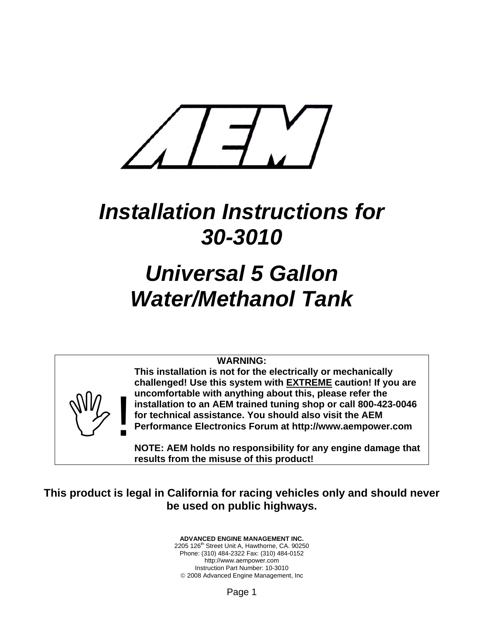

## *Installation Instructions for 30-3010*

# *Universal 5 Gallon Water/Methanol Tank*

#### **WARNING:**

**Any** 

**This installation is not for the electrically or mechanically challenged! Use this system with EXTREME caution! If you are uncomfortable with anything about this, please refer the installation to an AEM trained tuning shop or call 800-423-0046 for technical assistance. You should also visit the AEM Performance Electronics Forum at http://www.aempower.com** 

**NOTE: AEM holds no responsibility for any engine damage that results from the misuse of this product!**

#### **This product is legal in California for racing vehicles only and should never be used on public highways.**

**ADVANCED ENGINE MANAGEMENT INC.**  2205 126<sup>th</sup> Street Unit A, Hawthorne, CA. 90250 Phone: (310) 484-2322 Fax: (310) 484-0152 http://www.aempower.com Instruction Part Number: 10-3010 © 2008 Advanced Engine Management, Inc

Page 1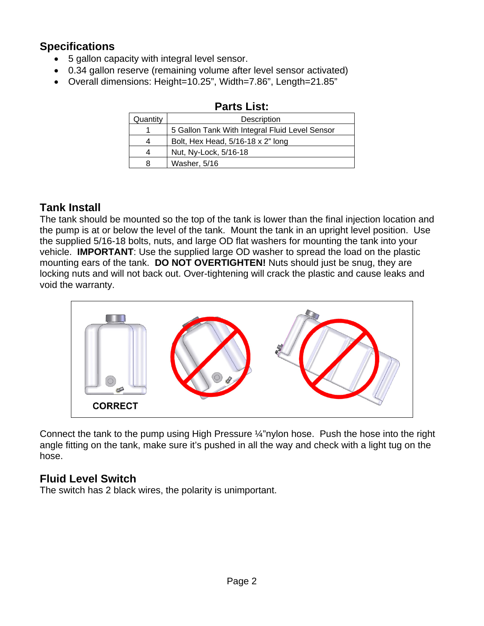### **Specifications**

- 5 gallon capacity with integral level sensor.
- 0.34 gallon reserve (remaining volume after level sensor activated)
- Overall dimensions: Height=10.25", Width=7.86", Length=21.85"

| Quantity | Description                                    |
|----------|------------------------------------------------|
|          | 5 Gallon Tank With Integral Fluid Level Sensor |
| 4        | Bolt, Hex Head, 5/16-18 x 2" long              |
| 4        | Nut, Ny-Lock, 5/16-18                          |
| 8        | Washer, 5/16                                   |

#### **Parts List:**

### **Tank Install**

The tank should be mounted so the top of the tank is lower than the final injection location and the pump is at or below the level of the tank. Mount the tank in an upright level position. Use the supplied 5/16-18 bolts, nuts, and large OD flat washers for mounting the tank into your vehicle. **IMPORTANT**: Use the supplied large OD washer to spread the load on the plastic mounting ears of the tank. **DO NOT OVERTIGHTEN!** Nuts should just be snug, they are locking nuts and will not back out. Over-tightening will crack the plastic and cause leaks and void the warranty.



Connect the tank to the pump using High Pressure ¼"nylon hose. Push the hose into the right angle fitting on the tank, make sure it's pushed in all the way and check with a light tug on the hose.

### **Fluid Level Switch**

The switch has 2 black wires, the polarity is unimportant.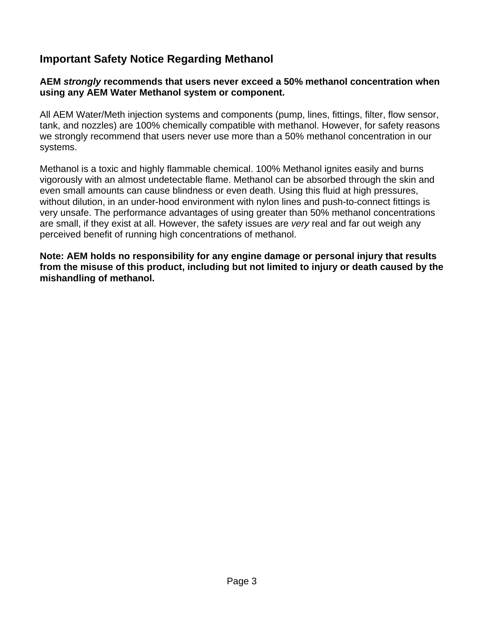#### **Important Safety Notice Regarding Methanol**

#### **AEM** *strongly* **recommends that users never exceed a 50% methanol concentration when using any AEM Water Methanol system or component.**

All AEM Water/Meth injection systems and components (pump, lines, fittings, filter, flow sensor, tank, and nozzles) are 100% chemically compatible with methanol. However, for safety reasons we strongly recommend that users never use more than a 50% methanol concentration in our systems.

Methanol is a toxic and highly flammable chemical. 100% Methanol ignites easily and burns vigorously with an almost undetectable flame. Methanol can be absorbed through the skin and even small amounts can cause blindness or even death. Using this fluid at high pressures, without dilution, in an under-hood environment with nylon lines and push-to-connect fittings is very unsafe. The performance advantages of using greater than 50% methanol concentrations are small, if they exist at all. However, the safety issues are *very* real and far out weigh any perceived benefit of running high concentrations of methanol.

**Note: AEM holds no responsibility for any engine damage or personal injury that results from the misuse of this product, including but not limited to injury or death caused by the mishandling of methanol.**